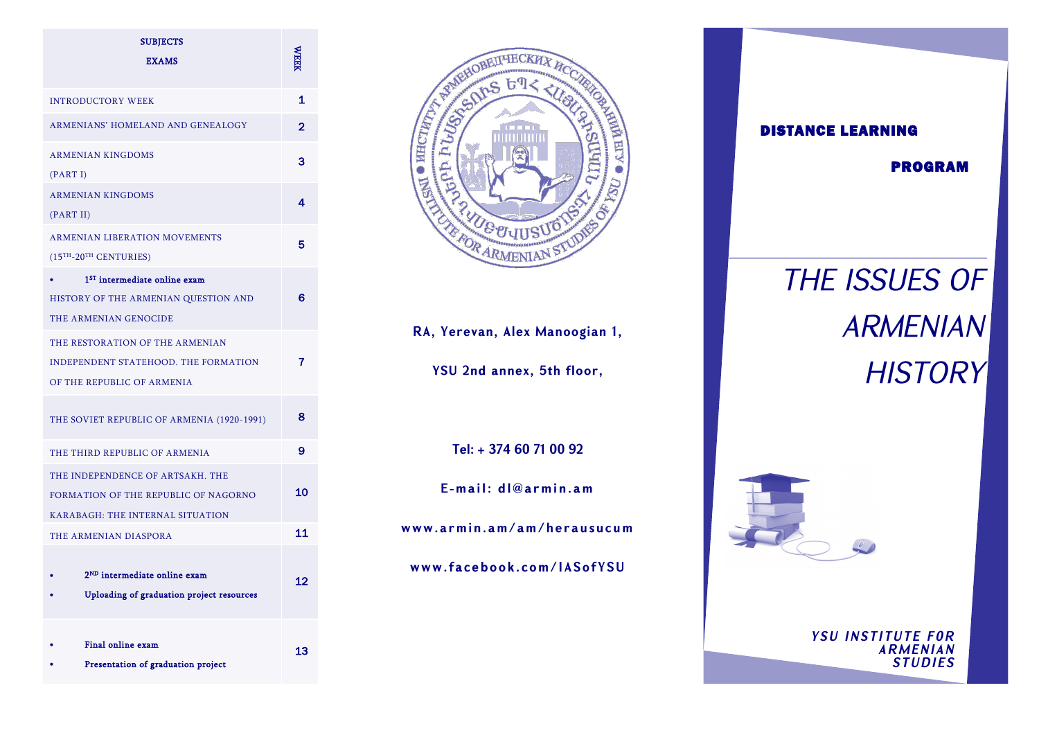| <b>SUBJECTS</b><br><b>EXAMS</b>                                                                              |    |
|--------------------------------------------------------------------------------------------------------------|----|
| <b>INTRODUCTORY WEEK</b>                                                                                     | 1  |
| ARMENIANS' HOMELAND AND GENEALOGY                                                                            | 2  |
| <b>ARMENIAN KINGDOMS</b><br>(PART I)                                                                         | 3  |
| <b>ARMENIAN KINGDOMS</b><br>(PART II)                                                                        | 4  |
| <b>ARMENIAN LIBERATION MOVEMENTS</b><br>$(15TH - 20TH$ CENTURIES)                                            | 5  |
| 1 <sup>ST</sup> intermediate online exam<br>HISTORY OF THE ARMENIAN QUESTION AND<br>THE ARMENIAN GENOCIDE    | 6  |
| THE RESTORATION OF THE ARMENIAN<br><b>INDEPENDENT STATEHOOD. THE FORMATION</b><br>OF THE REPUBLIC OF ARMENIA | 7  |
| THE SOVIET REPUBLIC OF ARMENIA (1920-1991)                                                                   | 8  |
| THE THIRD REPUBLIC OF ARMENIA                                                                                | 9  |
| THE INDEPENDENCE OF ARTSAKH. THE<br>FORMATION OF THE REPUBLIC OF NAGORNO<br>KARABAGH: THE INTERNAL SITUATION | 10 |
| THE ARMENIAN DIASPORA                                                                                        | 11 |
| 2 <sup>ND</sup> intermediate online exam<br>Uploading of graduation project resources                        | 12 |
| Final online exam<br>Presentation of graduation project                                                      | 13 |



RA, Yerevan, Alex Manoogian 1,

YSU 2nd annex, 5th floor,

Tel: + 374 60 71 00 92

E-mail: dl@armin.am

www.armin.am/am/herausucum

www.facebook.com/IASofYSU



**PROGRAM** 

# THE ISSUES OF **ARMENIAN HISTORY**



**YSU INSTITUTE FOR ARMENIAN**